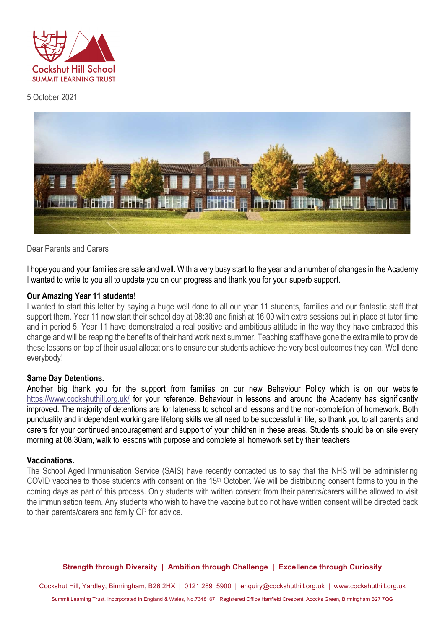

5 October 2021



Dear Parents and Carers

I hope you and your families are safe and well. With a very busy start to the year and a number of changes in the Academy I wanted to write to you all to update you on our progress and thank you for your superb support.

### Our Amazing Year 11 students!

I wanted to start this letter by saying a huge well done to all our year 11 students, families and our fantastic staff that support them. Year 11 now start their school day at 08:30 and finish at 16:00 with extra sessions put in place at tutor time and in period 5. Year 11 have demonstrated a real positive and ambitious attitude in the way they have embraced this change and will be reaping the benefits of their hard work next summer. Teaching staff have gone the extra mile to provide these lessons on top of their usual allocations to ensure our students achieve the very best outcomes they can. Well done everybody!

# Same Day Detentions.

Another big thank you for the support from families on our new Behaviour Policy which is on our website https://www.cockshuthill.org.uk/ for your reference. Behaviour in lessons and around the Academy has significantly improved. The majority of detentions are for lateness to school and lessons and the non-completion of homework. Both punctuality and independent working are lifelong skills we all need to be successful in life, so thank you to all parents and carers for your continued encouragement and support of your children in these areas. Students should be on site every morning at 08.30am, walk to lessons with purpose and complete all homework set by their teachers.

### Vaccinations.

The School Aged Immunisation Service (SAIS) have recently contacted us to say that the NHS will be administering COVID vaccines to those students with consent on the 15<sup>th</sup> October. We will be distributing consent forms to you in the coming days as part of this process. Only students with written consent from their parents/carers will be allowed to visit the immunisation team. Any students who wish to have the vaccine but do not have written consent will be directed back to their parents/carers and family GP for advice.

#### Strength through Diversity | Ambition through Challenge | Excellence through Curiosity

Cockshut Hill, Yardley, Birmingham, B26 2HX | 0121 289 5900 | enquiry@cockshuthill.org.uk | www.cockshuthill.org.uk

Summit Learning Trust. Incorporated in England & Wales, No.7348167. Registered Office Hartfield Crescent, Acocks Green, Birmingham B27 7QG